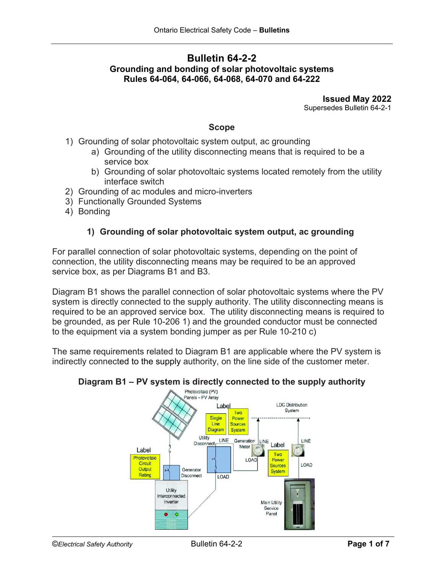## **Bulletin 64-2-2 Grounding and bonding of solar photovoltaic systems Rules 64-064, 64-066, 64-068, 64-070 and 64-222**

**Issued May 2022** Supersedes Bulletin 64-2-1

#### **Scope**

- 1) Grounding of solar photovoltaic system output, ac grounding
	- a) Grounding of the utility disconnecting means that is required to be a service box
	- b) Grounding of solar photovoltaic systems located remotely from the utility interface switch
- 2) Grounding of ac modules and micro-inverters
- 3) Functionally Grounded Systems
- 4) Bonding

### **1) Grounding of solar photovoltaic system output, ac grounding**

For parallel connection of solar photovoltaic systems, depending on the point of connection, the utility disconnecting means may be required to be an approved service box, as per Diagrams B1 and B3.

Diagram B1 shows the parallel connection of solar photovoltaic systems where the PV system is directly connected to the supply authority. The utility disconnecting means is required to be an approved service box. The utility disconnecting means is required to be grounded, as per Rule 10-206 1) and the grounded conductor must be connected to the equipment via a system bonding jumper as per Rule 10-210 c)

The same requirements related to Diagram B1 are applicable where the PV system is indirectly connected to the supply authority, on the line side of the customer meter.

# **Diagram B1 – PV system is directly connected to the supply authority**<br>Photovoltaic (PV)

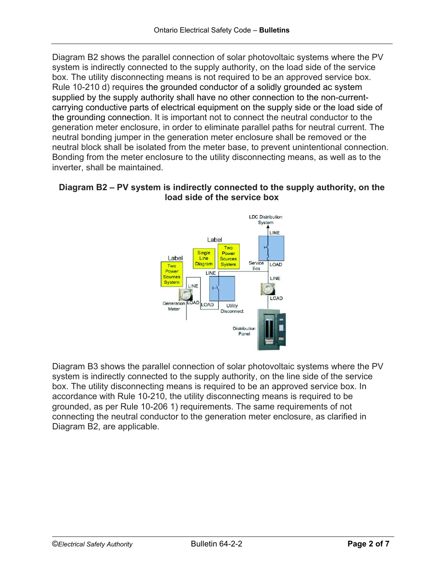Diagram B2 shows the parallel connection of solar photovoltaic systems where the PV system is indirectly connected to the supply authority, on the load side of the service box. The utility disconnecting means is not required to be an approved service box. Rule 10-210 d) requires the grounded conductor of a solidly grounded ac system supplied by the supply authority shall have no other connection to the non-currentcarrying conductive parts of electrical equipment on the supply side or the load side of the grounding connection. It is important not to connect the neutral conductor to the generation meter enclosure, in order to eliminate parallel paths for neutral current. The neutral bonding jumper in the generation meter enclosure shall be removed or the neutral block shall be isolated from the meter base, to prevent unintentional connection. Bonding from the meter enclosure to the utility disconnecting means, as well as to the inverter, shall be maintained.

## **Diagram B2 – PV system is indirectly connected to the supply authority, on the load side of the service box**



Diagram B3 shows the parallel connection of solar photovoltaic systems where the PV system is indirectly connected to the supply authority, on the line side of the service box. The utility disconnecting means is required to be an approved service box. In accordance with Rule 10-210, the utility disconnecting means is required to be grounded, as per Rule 10-206 1) requirements. The same requirements of not connecting the neutral conductor to the generation meter enclosure, as clarified in Diagram B2, are applicable.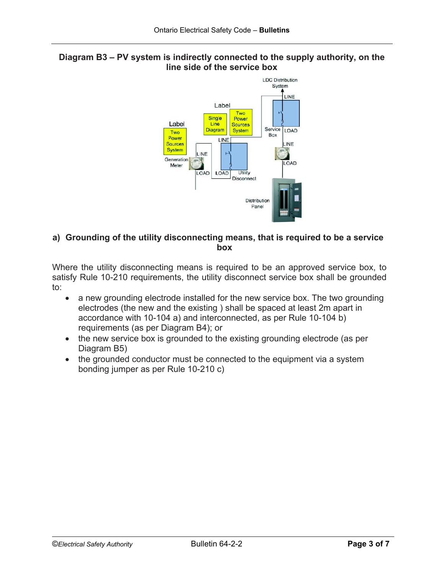



### **a) Grounding of the utility disconnecting means, that is required to be a service box**

Where the utility disconnecting means is required to be an approved service box, to satisfy Rule 10-210 requirements, the utility disconnect service box shall be grounded to:

- a new grounding electrode installed for the new service box. The two grounding electrodes (the new and the existing ) shall be spaced at least 2m apart in accordance with 10-104 a) and interconnected, as per Rule 10-104 b) requirements (as per Diagram B4); or
- the new service box is grounded to the existing grounding electrode (as per Diagram B5)
- the grounded conductor must be connected to the equipment via a system bonding jumper as per Rule 10-210 c)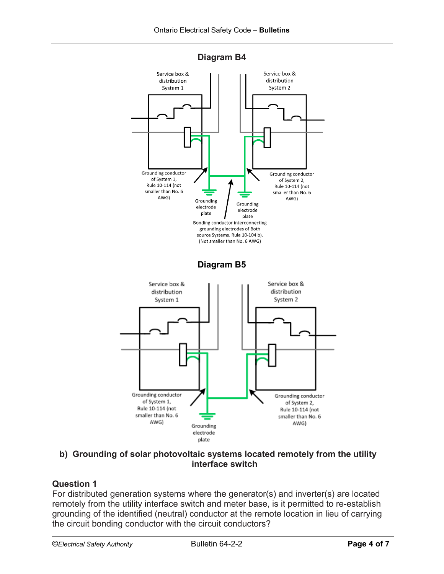

**Diagram B4**

## **b) Grounding of solar photovoltaic systems located remotely from the utility interface switch**

# **Question 1**

For distributed generation systems where the generator(s) and inverter(s) are located remotely from the utility interface switch and meter base, is it permitted to re-establish grounding of the identified (neutral) conductor at the remote location in lieu of carrying the circuit bonding conductor with the circuit conductors?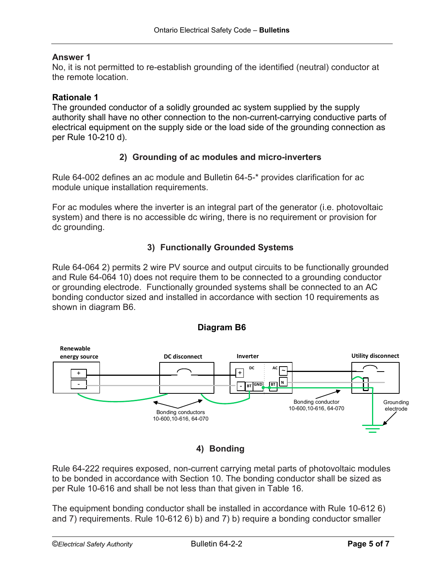#### **Answer 1**

No, it is not permitted to re-establish grounding of the identified (neutral) conductor at the remote location.

#### **Rationale 1**

The grounded conductor of a solidly grounded ac system supplied by the supply authority shall have no other connection to the non-current-carrying conductive parts of electrical equipment on the supply side or the load side of the grounding connection as per Rule 10-210 d).

### **2) Grounding of ac modules and micro-inverters**

Rule 64-002 defines an ac module and Bulletin 64-5-\* provides clarification for ac module unique installation requirements.

For ac modules where the inverter is an integral part of the generator (i.e. photovoltaic system) and there is no accessible dc wiring, there is no requirement or provision for dc grounding.

## **3) Functionally Grounded Systems**

Rule 64-064 2) permits 2 wire PV source and output circuits to be functionally grounded and Rule 64-064 10) does not require them to be connected to a grounding conductor or grounding electrode. Functionally grounded systems shall be connected to an AC bonding conductor sized and installed in accordance with section 10 requirements as shown in diagram B6.



**Diagram B6**

**4) Bonding**

Rule 64-222 requires exposed, non-current carrying metal parts of photovoltaic modules to be bonded in accordance with Section 10. The bonding conductor shall be sized as per Rule 10-616 and shall be not less than that given in Table 16.

The equipment bonding conductor shall be installed in accordance with Rule 10-612 6) and 7) requirements. Rule 10-612 6) b) and 7) b) require a bonding conductor smaller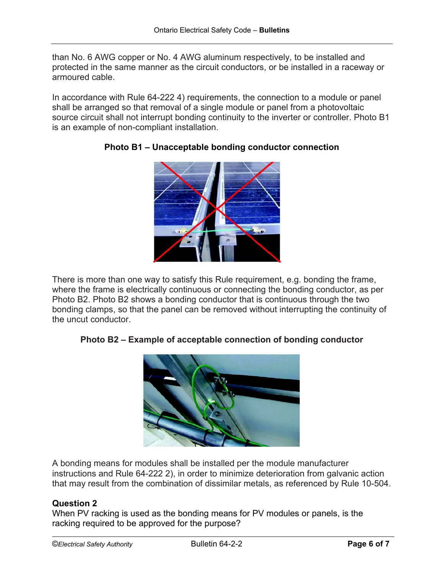than No. 6 AWG copper or No. 4 AWG aluminum respectively, to be installed and protected in the same manner as the circuit conductors, or be installed in a raceway or armoured cable.

In accordance with Rule 64-222 4) requirements, the connection to a module or panel shall be arranged so that removal of a single module or panel from a photovoltaic source circuit shall not interrupt bonding continuity to the inverter or controller. Photo B1 is an example of non-compliant installation.



# **Photo B1 – Unacceptable bonding conductor connection**

There is more than one way to satisfy this Rule requirement, e.g. bonding the frame, where the frame is electrically continuous or connecting the bonding conductor, as per Photo B2. Photo B2 shows a bonding conductor that is continuous through the two bonding clamps, so that the panel can be removed without interrupting the continuity of the uncut conductor.

# **Photo B2 – Example of acceptable connection of bonding conductor**



A bonding means for modules shall be installed per the module manufacturer instructions and Rule 64-222 2), in order to minimize deterioration from galvanic action that may result from the combination of dissimilar metals, as referenced by Rule 10-504.

### **Question 2**

When PV racking is used as the bonding means for PV modules or panels, is the racking required to be approved for the purpose?